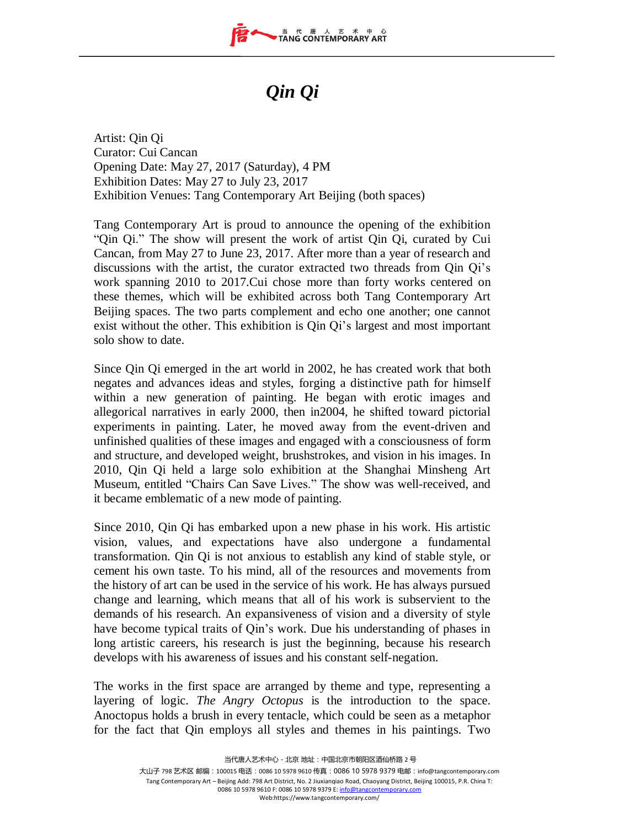

## *Qin Qi*

Artist: Qin Qi Curator: Cui Cancan Opening Date: May 27, 2017 (Saturday), 4 PM Exhibition Dates: May 27 to July 23, 2017 Exhibition Venues: Tang Contemporary Art Beijing (both spaces)

Tang Contemporary Art is proud to announce the opening of the exhibition "Qin Qi." The show will present the work of artist Qin Qi, curated by Cui Cancan, from May 27 to June 23, 2017. After more than a year of research and discussions with the artist, the curator extracted two threads from Qin Qi's work spanning 2010 to 2017.Cui chose more than forty works centered on these themes, which will be exhibited across both Tang Contemporary Art Beijing spaces. The two parts complement and echo one another; one cannot exist without the other. This exhibition is Qin Qi's largest and most important solo show to date.

Since Qin Qi emerged in the art world in 2002, he has created work that both negates and advances ideas and styles, forging a distinctive path for himself within a new generation of painting. He began with erotic images and allegorical narratives in early 2000, then in2004, he shifted toward pictorial experiments in painting. Later, he moved away from the event-driven and unfinished qualities of these images and engaged with a consciousness of form and structure, and developed weight, brushstrokes, and vision in his images. In 2010, Qin Qi held a large solo exhibition at the Shanghai Minsheng Art Museum, entitled "Chairs Can Save Lives." The show was well-received, and it became emblematic of a new mode of painting.

Since 2010, Qin Qi has embarked upon a new phase in his work. His artistic vision, values, and expectations have also undergone a fundamental transformation. Qin Qi is not anxious to establish any kind of stable style, or cement his own taste. To his mind, all of the resources and movements from the history of art can be used in the service of his work. He has always pursued change and learning, which means that all of his work is subservient to the demands of his research. An expansiveness of vision and a diversity of style have become typical traits of Qin's work. Due his understanding of phases in long artistic careers, his research is just the beginning, because his research develops with his awareness of issues and his constant self-negation.

The works in the first space are arranged by theme and type, representing a layering of logic. *The Angry Octopus* is the introduction to the space. Anoctopus holds a brush in every tentacle, which could be seen as a metaphor for the fact that Qin employs all styles and themes in his paintings. Two

当代唐人艺术中心-北京 地址:中国北京市朝阳区酒仙桥路 2 号

大山子 798 艺术区 邮编:100015 电话:0086 10 5978 9610 传真:0086 10 5978 9379 电邮:info@tangcontemporary.com Tang Contemporary Art – Beijing Add: 798 Art District, No. 2 Jiuxianqiao Road, Chaoyang District, Beijing 100015, P.R. China T: 0086 10 5978 9610 F: 0086 10 5978 9379 E[: info@tangcontemporary.com](mailto:info@tangcontemporary.com) Web:https://www.tangcontemporary.com/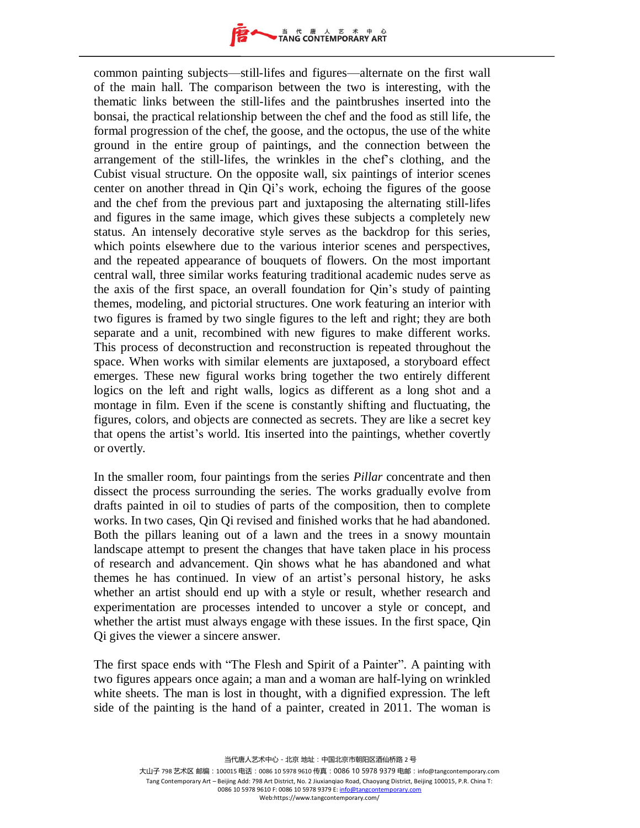

common painting subjects—still-lifes and figures—alternate on the first wall of the main hall. The comparison between the two is interesting, with the thematic links between the still-lifes and the paintbrushes inserted into the bonsai, the practical relationship between the chef and the food as still life, the formal progression of the chef, the goose, and the octopus, the use of the white ground in the entire group of paintings, and the connection between the arrangement of the still-lifes, the wrinkles in the chef's clothing, and the Cubist visual structure. On the opposite wall, six paintings of interior scenes center on another thread in Qin Qi's work, echoing the figures of the goose and the chef from the previous part and juxtaposing the alternating still-lifes and figures in the same image, which gives these subjects a completely new status. An intensely decorative style serves as the backdrop for this series, which points elsewhere due to the various interior scenes and perspectives, and the repeated appearance of bouquets of flowers. On the most important central wall, three similar works featuring traditional academic nudes serve as the axis of the first space, an overall foundation for Qin's study of painting themes, modeling, and pictorial structures. One work featuring an interior with two figures is framed by two single figures to the left and right; they are both separate and a unit, recombined with new figures to make different works. This process of deconstruction and reconstruction is repeated throughout the space. When works with similar elements are juxtaposed, a storyboard effect emerges. These new figural works bring together the two entirely different logics on the left and right walls, logics as different as a long shot and a montage in film. Even if the scene is constantly shifting and fluctuating, the figures, colors, and objects are connected as secrets. They are like a secret key that opens the artist's world. Itis inserted into the paintings, whether covertly or overtly.

In the smaller room, four paintings from the series *Pillar* concentrate and then dissect the process surrounding the series. The works gradually evolve from drafts painted in oil to studies of parts of the composition, then to complete works. In two cases, Qin Qi revised and finished works that he had abandoned. Both the pillars leaning out of a lawn and the trees in a snowy mountain landscape attempt to present the changes that have taken place in his process of research and advancement. Qin shows what he has abandoned and what themes he has continued. In view of an artist's personal history, he asks whether an artist should end up with a style or result, whether research and experimentation are processes intended to uncover a style or concept, and whether the artist must always engage with these issues. In the first space, Qin Qi gives the viewer a sincere answer.

The first space ends with "The Flesh and Spirit of a Painter". A painting with two figures appears once again; a man and a woman are half-lying on wrinkled white sheets. The man is lost in thought, with a dignified expression. The left side of the painting is the hand of a painter, created in 2011. The woman is

大山子 798 艺术区 邮编:100015 电话:0086 10 5978 9610 传真: 0086 10 5978 9379 电邮: info@tangcontemporary.com Tang Contemporary Art – Beijing Add: 798 Art District, No. 2 Jiuxianqiao Road, Chaoyang District, Beijing 100015, P.R. China T: 0086 10 5978 9610 F: 0086 10 5978 9379 E[: info@tangcontemporary.com](mailto:info@tangcontemporary.com) Web:https://www.tangcontemporary.com/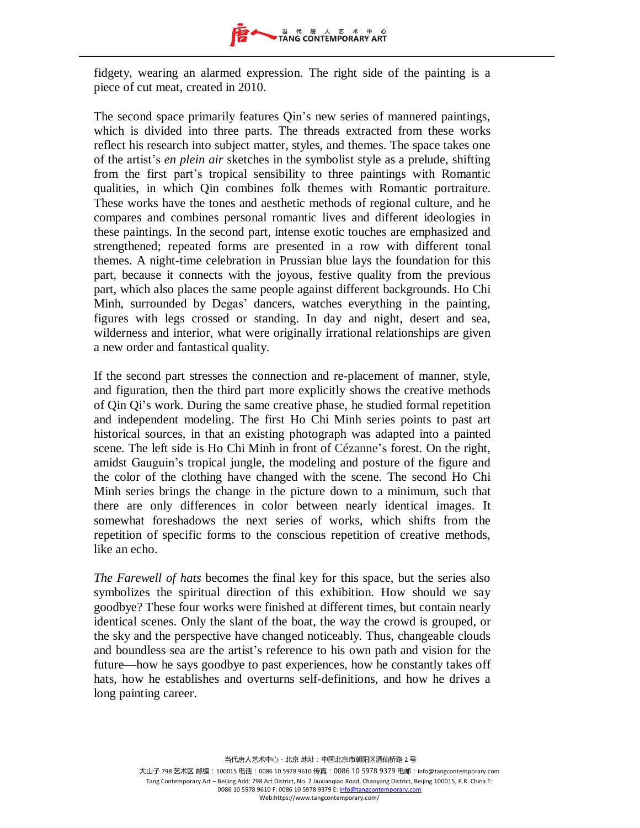

fidgety, wearing an alarmed expression. The right side of the painting is a piece of cut meat, created in 2010.

The second space primarily features Qin's new series of mannered paintings, which is divided into three parts. The threads extracted from these works reflect his research into subject matter, styles, and themes. The space takes one of the artist's *en plein air* sketches in the symbolist style as a prelude, shifting from the first part's tropical sensibility to three paintings with Romantic qualities, in which Qin combines folk themes with Romantic portraiture. These works have the tones and aesthetic methods of regional culture, and he compares and combines personal romantic lives and different ideologies in these paintings. In the second part, intense exotic touches are emphasized and strengthened; repeated forms are presented in a row with different tonal themes. A night-time celebration in Prussian blue lays the foundation for this part, because it connects with the joyous, festive quality from the previous part, which also places the same people against different backgrounds. Ho Chi Minh, surrounded by Degas' dancers, watches everything in the painting, figures with legs crossed or standing. In day and night, desert and sea, wilderness and interior, what were originally irrational relationships are given a new order and fantastical quality.

If the second part stresses the connection and re-placement of manner, style, and figuration, then the third part more explicitly shows the creative methods of Qin Qi's work. During the same creative phase, he studied formal repetition and independent modeling. The first Ho Chi Minh series points to past art historical sources, in that an existing photograph was adapted into a painted scene. The left side is Ho Chi Minh in front of Cézanne's forest. On the right, amidst Gauguin's tropical jungle, the modeling and posture of the figure and the color of the clothing have changed with the scene. The second Ho Chi Minh series brings the change in the picture down to a minimum, such that there are only differences in color between nearly identical images. It somewhat foreshadows the next series of works, which shifts from the repetition of specific forms to the conscious repetition of creative methods, like an echo.

*The Farewell of hats* becomes the final key for this space, but the series also symbolizes the spiritual direction of this exhibition. How should we say goodbye? These four works were finished at different times, but contain nearly identical scenes. Only the slant of the boat, the way the crowd is grouped, or the sky and the perspective have changed noticeably. Thus, changeable clouds and boundless sea are the artist's reference to his own path and vision for the future—how he says goodbye to past experiences, how he constantly takes off hats, how he establishes and overturns self-definitions, and how he drives a long painting career.